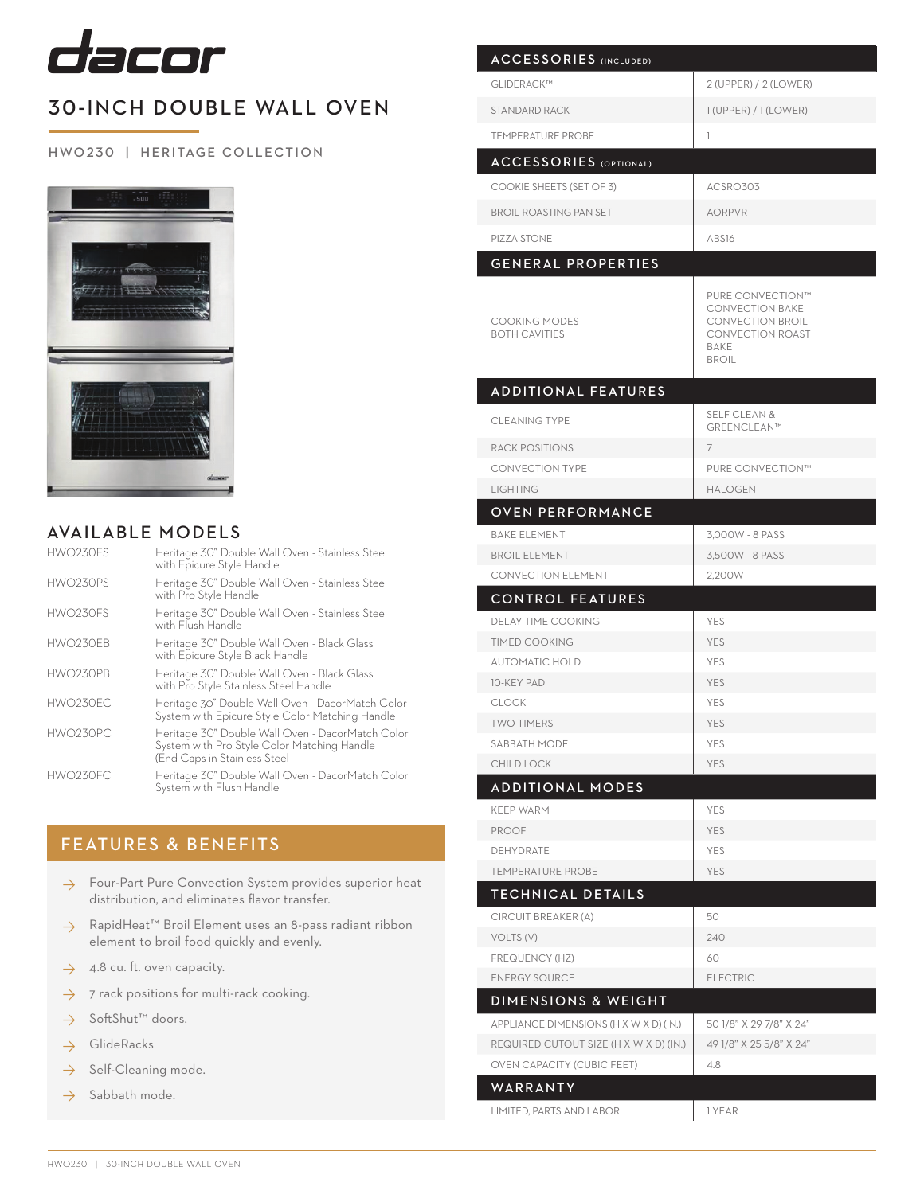

## 30-INCH DOUBLE WALL OVEN

## HWO 230 | HERITAGE COLLECTION



## AVAILABLE MODELS

| HWO230ES | Heritage 30" Double Wall Oven - Stainless Steel<br>with Epicure Style Handle                                                    |
|----------|---------------------------------------------------------------------------------------------------------------------------------|
| HWO230PS | Heritage 30" Double Wall Oven - Stainless Steel<br>with Pro Style Handle                                                        |
| HWO230ES | Heritage 30" Double Wall Oven - Stainless Steel<br>with Flush Handle                                                            |
| HWO230EB | Heritage 30" Double Wall Oven - Black Glass<br>with Epicure Style Black Handle                                                  |
| HWO230PB | Heritage 30" Double Wall Oven - Black Glass<br>with Pro Style Stainless Steel Handle                                            |
| HWO230FC | Heritage 30" Double Wall Oven - DacorMatch Color<br>System with Epicure Style Color Matching Handle                             |
| HWO230PC | Heritage 30" Double Wall Oven - DacorMatch Color<br>System with Pro Style Color Matching Handle<br>(End Caps in Stainless Steel |
| HWO230FC | Heritage 30" Double Wall Oven - DacorMatch Color<br>System with Flush Handle                                                    |

## FEATURES & BENEFITS

- → Four-Part Pure Convection System provides superior heat distribution, and eliminates flavor transfer.
- RapidHeat™ Broil Element uses an 8-pass radiant ribbon element to broil food quickly and evenly. ◊
- 4.8 cu. ft. oven capacity. ◊
- 7 rack positions for multi-rack cooking. ◊
- SoftShut™ doors. ◊
- GlideRacks ◊
- Self-Cleaning mode. ◊
- Sabbath mode. ◊

| <b>ACCESSORIES (INCLUDED)</b>                                            |                                                                                                                          |
|--------------------------------------------------------------------------|--------------------------------------------------------------------------------------------------------------------------|
| GLIDERACK™                                                               | 2 (UPPER) / 2 (LOWER)                                                                                                    |
| <b>STANDARD RACK</b>                                                     | $1$ (UPPER) / $1$ (LOWER)                                                                                                |
| <b>TEMPERATURE PROBE</b>                                                 | 1                                                                                                                        |
| <b>ACCESSORIES</b> (OPTIONAL)                                            |                                                                                                                          |
|                                                                          |                                                                                                                          |
| COOKIE SHEETS (SET OF 3)                                                 | ACSRO303                                                                                                                 |
| <b>BROIL-ROASTING PAN SET</b>                                            | <b>AORPVR</b>                                                                                                            |
| PIZZA STONE                                                              | ABS16                                                                                                                    |
| <b>GENERAL PROPERTIES</b>                                                |                                                                                                                          |
| <b>COOKING MODES</b><br><b>BOTH CAVITIES</b>                             | PURE CONVECTION™<br><b>CONVECTION BAKE</b><br><b>CONVECTION BROIL</b><br><b>CONVECTION ROAST</b><br>BAKE<br><b>BROIL</b> |
| <b>ADDITIONAL FEATURES</b>                                               |                                                                                                                          |
| <b>CLEANING TYPE</b>                                                     | <b>SELF CLEAN &amp;</b><br>GREENCLEAN™                                                                                   |
| <b>RACK POSITIONS</b>                                                    | 7                                                                                                                        |
| <b>CONVECTION TYPE</b>                                                   | PURE CONVECTION™                                                                                                         |
| <b>LIGHTING</b>                                                          | <b>HALOGEN</b>                                                                                                           |
| <b>OVEN PERFORMANCE</b>                                                  |                                                                                                                          |
| <b>BAKE ELEMENT</b>                                                      | 3.000W - 8 PASS                                                                                                          |
| <b>BROIL ELEMENT</b>                                                     | 3,500W - 8 PASS                                                                                                          |
| <b>CONVECTION ELEMENT</b>                                                | 2.200W                                                                                                                   |
| <b>CONTROL FEATURES</b>                                                  |                                                                                                                          |
| <b>DELAY TIME COOKING</b>                                                | <b>YES</b>                                                                                                               |
| <b>TIMED COOKING</b>                                                     | <b>YES</b>                                                                                                               |
| <b>AUTOMATIC HOLD</b>                                                    | <b>YES</b>                                                                                                               |
| <b>10-KEY PAD</b>                                                        | <b>YES</b>                                                                                                               |
| <b>CLOCK</b>                                                             | <b>YES</b>                                                                                                               |
| TWO TIMERS<br>SABBATH MODE                                               | YES<br><b>YES</b>                                                                                                        |
| <b>CHILD LOCK</b>                                                        | <b>YES</b>                                                                                                               |
| <b>ADDITIONAL MODES</b>                                                  |                                                                                                                          |
| <b>KEEP WARM</b>                                                         | <b>YES</b>                                                                                                               |
| <b>PROOF</b>                                                             | <b>YES</b>                                                                                                               |
| <b>DEHYDRATE</b>                                                         | <b>YES</b>                                                                                                               |
|                                                                          |                                                                                                                          |
| <b>TEMPERATURE PROBE</b>                                                 |                                                                                                                          |
|                                                                          | <b>YES</b>                                                                                                               |
| TECHNICAL DETAILS                                                        |                                                                                                                          |
| CIRCUIT BREAKER (A)                                                      | 50                                                                                                                       |
| VOLTS (V)                                                                | 240<br>60                                                                                                                |
| FREQUENCY (HZ)<br><b>ENERGY SOURCE</b>                                   | <b>ELECTRIC</b>                                                                                                          |
|                                                                          |                                                                                                                          |
| <b>DIMENSIONS &amp; WEIGHT</b><br>APPLIANCE DIMENSIONS (H X W X D) (IN.) | 50 1/8" X 29 7/8" X 24"                                                                                                  |
| REQUIRED CUTOUT SIZE (H X W X D) (IN.)                                   | 49 1/8" X 25 5/8" X 24"                                                                                                  |
| <b>OVEN CAPACITY (CUBIC FEET)</b>                                        | 4.8                                                                                                                      |
| WARRANTY                                                                 |                                                                                                                          |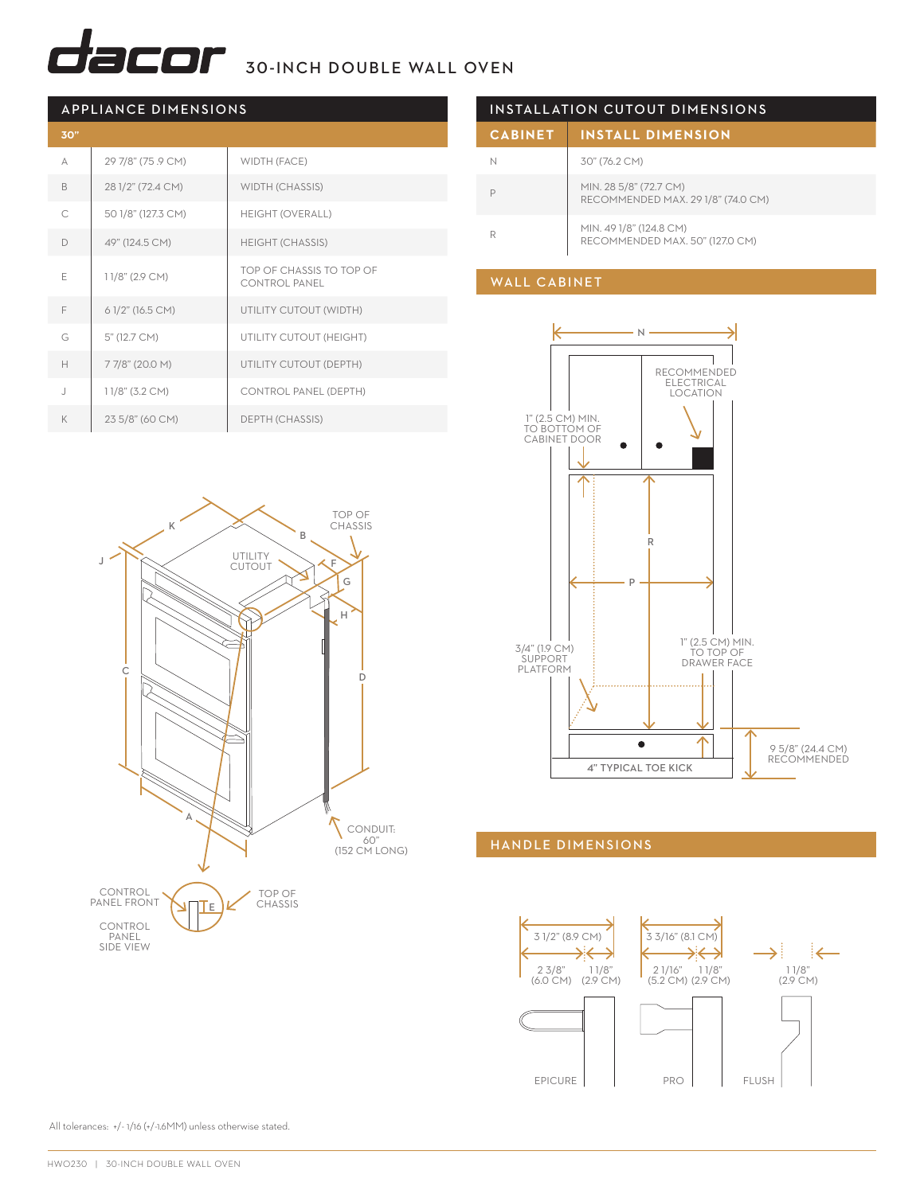# $\overline{\mathbf{C}}$  $\overline{\mathbf{C}}$  $\mathbf{C}$  $\mathbf{D}$  $\mathbf{r}$  30-INCH DOUBLE WALL OVEN

| <b>APPLIANCE DIMENSIONS</b> |                    |                                                  |
|-----------------------------|--------------------|--------------------------------------------------|
| 30"                         |                    |                                                  |
| А                           | 29 7/8" (75.9 CM)  | WIDTH (FACE)                                     |
| B                           | 28 1/2" (72.4 CM)  | WIDTH (CHASSIS)                                  |
| C                           | 50 1/8" (127.3 CM) | <b>HEIGHT (OVERALL)</b>                          |
| D                           | 49" (124.5 CM)     | <b>HEIGHT (CHASSIS)</b>                          |
| E                           | 11/8" (2.9 CM)     | TOP OF CHASSIS TO TOP OF<br><b>CONTROL PANEL</b> |
| F                           | 6 1/2" (16.5 CM)   | UTILITY CUTOUT (WIDTH)                           |
| G                           | 5" (12.7 CM)       | UTILITY CUTOUT (HEIGHT)                          |
| H                           | 77/8" (20.0 M)     | UTILITY CUTOUT (DEPTH)                           |
| $\overline{1}$              | 11/8" (3.2 CM)     | <b>CONTROL PANEL (DEPTH)</b>                     |
| K                           | 23 5/8" (60 CM)    | DEPTH (CHASSIS)                                  |



| INSTALLATION CUTOUT DIMENSIONS |                                                              |  |
|--------------------------------|--------------------------------------------------------------|--|
| <b>CABINET</b>                 | <b>INSTALL DIMENSION</b>                                     |  |
|                                | 30" (76.2 CM)                                                |  |
|                                | MIN. 28 5/8" (72.7 CM)<br>RECOMMENDED MAX. 29 1/8" (74.0 CM) |  |
| R                              | MIN. 49 1/8" (124.8 CM)<br>RECOMMENDED MAX, 50" (127.0 CM)   |  |

#### WALL CABINET



### HANDLE DIMENSIONS



All tolerances: ±/-1/16 (+/-1.6MM) unless otherwise stated.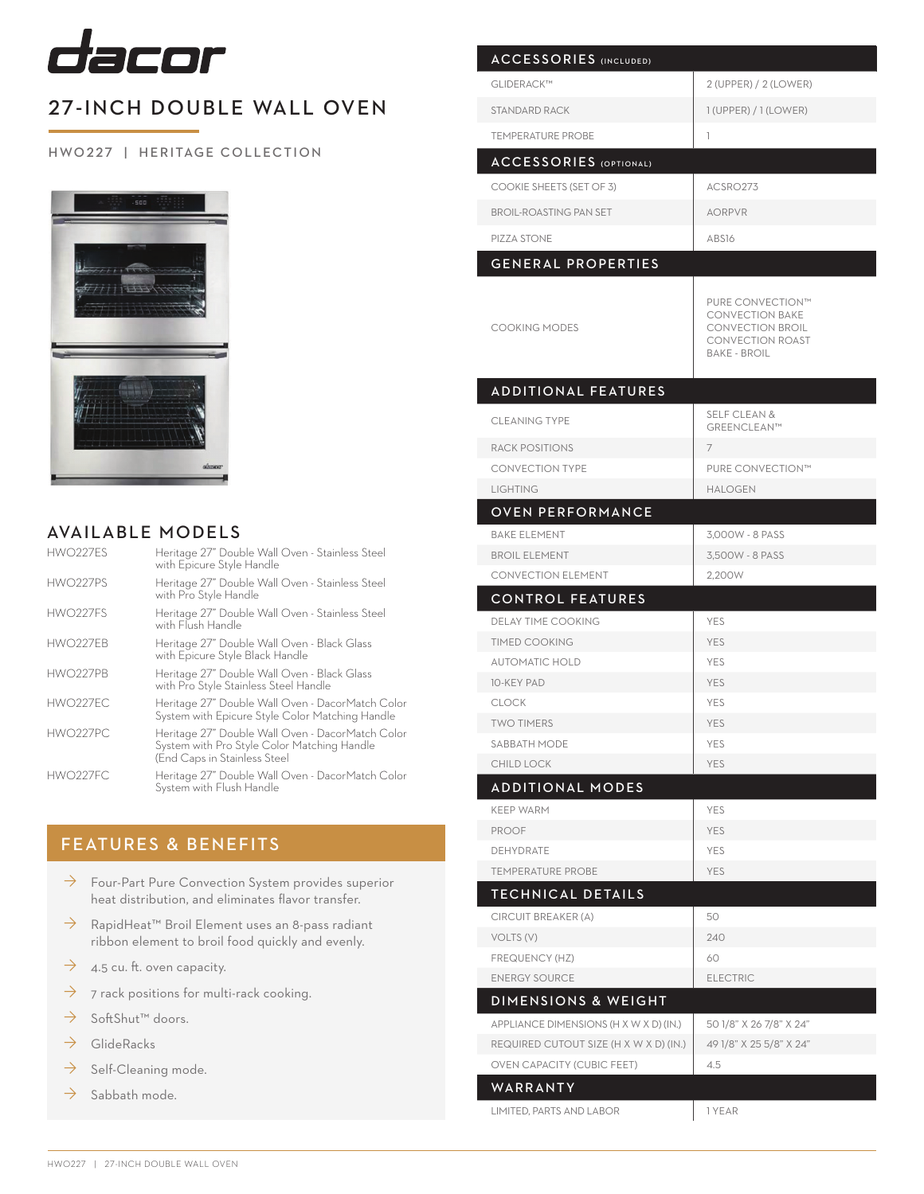

## 27-INCH DOUBLE WALL OVEN

## H WO 227 | HERITAGE COLLECTION



## AVAILABLE MODELS

| HWO227ES             | Heritage 27" Double Wall Oven - Stainless Steel<br>with Epicure Style Handle                                                    |
|----------------------|---------------------------------------------------------------------------------------------------------------------------------|
| HWO227PS             | Heritage 27" Double Wall Oven - Stainless Steel<br>with Pro Style Handle                                                        |
| HWO <sub>227FS</sub> | Heritage 27" Double Wall Oven - Stainless Steel<br>with Flush Handle                                                            |
| HWO227FB             | Heritage 27" Double Wall Oven - Black Glass<br>with Epicure Style Black Handle                                                  |
| HWO227PB             | Heritage 27" Double Wall Oven - Black Glass<br>with Pro Style Stainless Steel Handle                                            |
| HWO227FC             | Heritage 27" Double Wall Oven - DacorMatch Color<br>System with Epicure Style Color Matching Handle                             |
| HWO227PC             | Heritage 27" Double Wall Oven - DacorMatch Color<br>System with Pro Style Color Matching Handle<br>(End Caps in Stainless Steel |
| HWO227FC             | Heritage 27" Double Wall Oven - DacorMatch Color<br>System with Flush Handle                                                    |

## FEATURES & BENEFITS

- $\rightarrow$  Four-Part Pure Convection System provides superior heat distribution, and eliminates flavor transfer.
- → RapidHeat<sup>™</sup> Broil Element uses an 8-pass radiant ribbon element to broil food quickly and evenly.
- $\rightarrow$  4.5 cu. ft. oven capacity.
- $\rightarrow$  7 rack positions for multi-rack cooking.
- → SoftShut™ doors.
- $\rightarrow$  GlideRacks
- $\rightarrow$  Self-Cleaning mode.
- $\rightarrow$  Sabbath mode.

| <b>ACCESSORIES</b> (INCLUDED)          |                                                                                                                         |
|----------------------------------------|-------------------------------------------------------------------------------------------------------------------------|
| GLIDERACK™                             | 2 (UPPER) / 2 (LOWER)                                                                                                   |
| STANDARD RACK                          | $1$ (UPPER) / $1$ (LOWER)                                                                                               |
| <b>TEMPERATURE PROBE</b>               | 1                                                                                                                       |
| <b>ACCESSORIES</b> (OPTIONAL)          |                                                                                                                         |
| COOKIE SHEETS (SET OF 3)               | ACSRO273                                                                                                                |
| <b>BROIL-ROASTING PAN SET</b>          | <b>AORPVR</b>                                                                                                           |
| PIZZA STONE                            | ABS16                                                                                                                   |
|                                        |                                                                                                                         |
| <b>GENERAL PROPERTIES</b>              |                                                                                                                         |
| <b>COOKING MODES</b>                   | PURE CONVECTION™<br><b>CONVECTION BAKE</b><br><b>CONVECTION BROIL</b><br><b>CONVECTION ROAST</b><br><b>BAKE - BROIL</b> |
| <b>ADDITIONAL FEATURES</b>             |                                                                                                                         |
| <b>CLEANING TYPE</b>                   | <b>SELF CLEAN &amp;</b><br>GREENCLEAN™                                                                                  |
| <b>RACK POSITIONS</b>                  | 7                                                                                                                       |
| <b>CONVECTION TYPE</b>                 | PURE CONVECTION™                                                                                                        |
| <b>LIGHTING</b>                        | <b>HALOGEN</b>                                                                                                          |
| <b>OVEN PERFORMANCE</b>                |                                                                                                                         |
| <b>BAKE ELEMENT</b>                    | 3,000W - 8 PASS                                                                                                         |
| <b>BROIL ELEMENT</b>                   | 3,500W - 8 PASS                                                                                                         |
| <b>CONVECTION ELEMENT</b>              | 2,200W                                                                                                                  |
| <b>CONTROL FEATURES</b>                |                                                                                                                         |
| <b>DELAY TIME COOKING</b>              | <b>YES</b>                                                                                                              |
| <b>TIMED COOKING</b>                   | <b>YES</b>                                                                                                              |
| <b>AUTOMATIC HOLD</b>                  | <b>YES</b>                                                                                                              |
| <b>10-KEY PAD</b>                      | <b>YES</b>                                                                                                              |
| <b>CLOCK</b><br><b>TWO TIMERS</b>      | YES<br>YES                                                                                                              |
| SABBATH MODE                           | YES                                                                                                                     |
| <b>CHILD LOCK</b>                      | <b>YES</b>                                                                                                              |
| <b>ADDITIONAL MODES</b>                |                                                                                                                         |
| <b>KEEP WARM</b>                       | YES                                                                                                                     |
| <b>PROOF</b>                           | <b>YES</b>                                                                                                              |
| <b>DEHYDRATE</b>                       | <b>YES</b>                                                                                                              |
| <b>TEMPERATURE PROBE</b>               | <b>YES</b>                                                                                                              |
| TECHNICAL DETAILS                      |                                                                                                                         |
| CIRCUIT BREAKER (A)                    | 50                                                                                                                      |
| VOLTS (V)                              | 240                                                                                                                     |
| FREQUENCY (HZ)                         | 60                                                                                                                      |
| <b>ENERGY SOURCE</b>                   | <b>ELECTRIC</b>                                                                                                         |
| <b>DIMENSIONS &amp; WEIGHT</b>         |                                                                                                                         |
| APPLIANCE DIMENSIONS (H X W X D) (IN.) | 50 1/8" X 26 7/8" X 24"                                                                                                 |
| REQUIRED CUTOUT SIZE (H X W X D) (IN.) | 49 1/8" X 25 5/8" X 24"                                                                                                 |
| <b>OVEN CAPACITY (CUBIC FEET)</b>      | 4.5                                                                                                                     |
| WARRANTY                               |                                                                                                                         |
|                                        |                                                                                                                         |